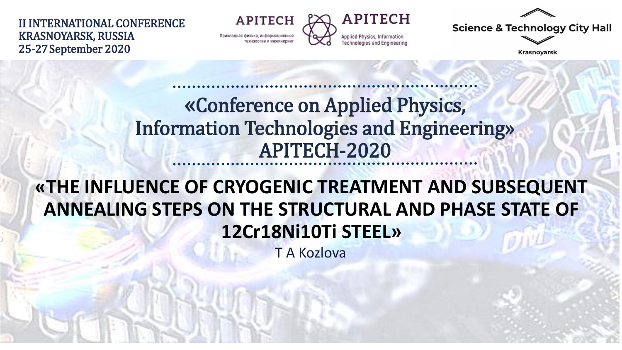II INTERNATIONAL CONFERENCE KRASNOYARSK, RUSSIA 25-27September 2020

**APITECH** Прикладная физика, информационные технологии и инжинирия



**Science & Technology City Hall** 

**Krasnoyarsk** 

#### «Conference on Applied Physics, Information Technologies and Engineering» APITECH-2020

#### **«THE INFLUENCE OF CRYOGENIC TREATMENT AND SUBSEQUENT ANNEALING STEPS ON THE STRUCTURAL AND PHASE STATE OF 12Cr18Ni10Ti STEEL»**

T A Kozlova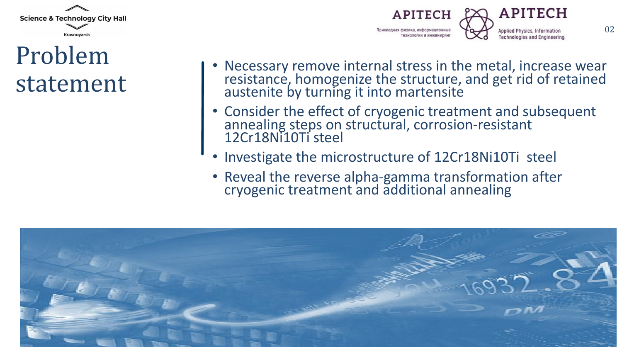

### Problem statement



- Necessary remove internal stress in the metal, increase wear resistance, homogenize the structure, and get rid of retained austenite by turning it into martensite
- Consider the effect of cryogenic treatment and subsequent annealing steps on structural, corrosion-resistant 12Cr18Ni10Ti steel
- Investigate the microstructure of 12Cr18Ni10Ti steel
- Reveal the reverse alpha-gamma transformation after cryogenic treatment and additional annealing

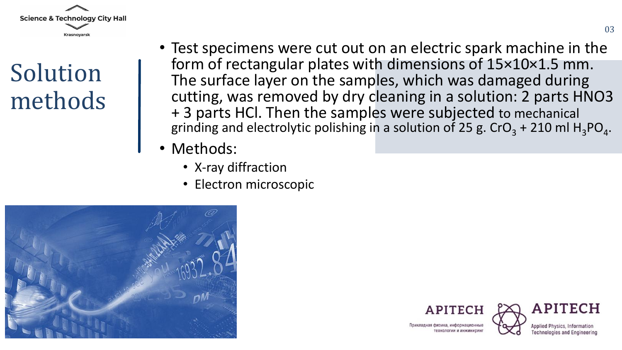

## Solution methods

- Test specimens were cut out on an electric spark machine in the form of rectangular plates with dimensions of 15×10×1.5 mm. The surface layer on the samples, which was damaged during cutting, was removed by dry cleaning in a solution: 2 parts HNO3 + 3 parts HCl. Then the samples were subjected to mechanical grinding and electrolytic polishing in a solution of 25 g. CrO<sub>3</sub> + 210 ml H<sub>3</sub>PO<sub>4</sub>.
- Methods:
	- X-ray diffraction
	- Electron microscopic







Поикладная физика информационны технологии и инжинири

**Applied Physics, Infor Technologies and Engineering**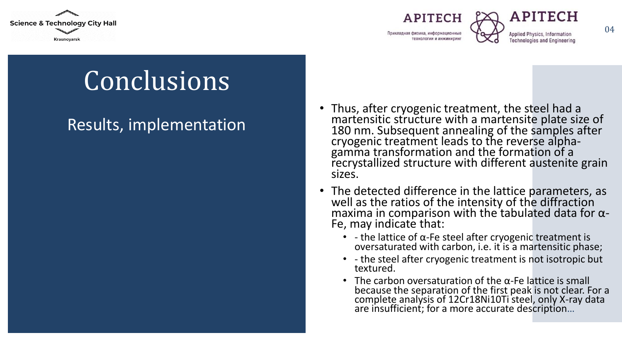





Applied Physics, Information **Technologies and Engineering** 

# **Conclusions**

#### Results, implementation

- Thus, after cryogenic treatment, the steel had a martensitic structure with a martensite plate size of 180 nm. Subsequent annealing of the samples after cryogenic treatment leads to the reverse alphagamma transformation and the formation of a recrystallized structure with different austenite grain sizes.
- The detected difference in the lattice parameters, as well as the ratios of the intensity of the diffraction maxima in comparison with the tabulated data for  $\alpha$ -Fe, may indicate that:
	- - the lattice of  $\alpha$ -Fe steel after cryogenic treatment is oversaturated with carbon, i.e. it is a martensitic phase;
	- - the steel after cryogenic treatment is not isotropic but textured.
	- The carbon oversaturation of the  $\alpha$ -Fe lattice is small because the separation of the first peak is not clear. For a complete analysis of 12Cr18Ni10Ti steel, only X-ray data are insufficient; for a more accurate description…